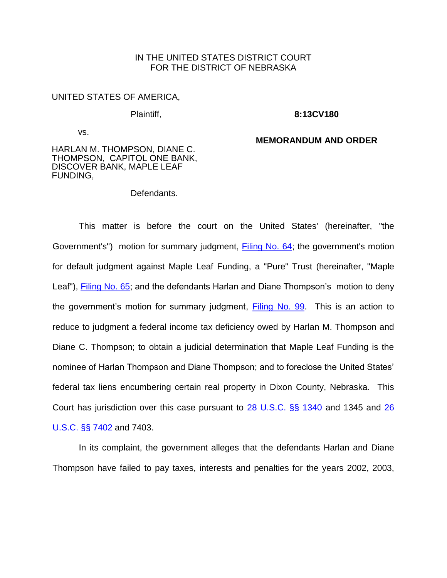### IN THE UNITED STATES DISTRICT COURT FOR THE DISTRICT OF NEBRASKA

UNITED STATES OF AMERICA,

Plaintiff,

vs.

**8:13CV180**

#### HARLAN M. THOMPSON, DIANE C. THOMPSON, CAPITOL ONE BANK, DISCOVER BANK, MAPLE LEAF FUNDING,

Defendants.

**MEMORANDUM AND ORDER**

This matter is before the court on the United States' (hereinafter, "the Government's") motion for summary judgment, [Filing No. 64;](https://ecf.ned.uscourts.gov/doc1/11313116019) the government's motion for default judgment against Maple Leaf Funding, a "Pure" Trust (hereinafter, "Maple Leaf"), [Filing No. 65;](https://ecf.ned.uscourts.gov/doc1/11313116022) and the defendants Harlan and Diane Thompson's motion to deny the government's motion for summary judgment, [Filing No. 99.](https://ecf.ned.uscourts.gov/doc1/11313170252) This is an action to reduce to judgment a federal income tax deficiency owed by Harlan M. Thompson and Diane C. Thompson; to obtain a judicial determination that Maple Leaf Funding is the nominee of Harlan Thompson and Diane Thompson; and to foreclose the United States' federal tax liens encumbering certain real property in Dixon County, Nebraska. This Court has jurisdiction over this case pursuant to [28 U.S.C. §§ 1340](http://westlaw.com/find/default.wl?ft=L&docname=28USCAS1340&rs=btil2.0&rp=%2ffind%2fdefault.wl&fn=_top&findtype=L&vr=2.0&db=1000546&wbtoolsId=28USCAS1340&HistoryType=F) and 1345 and [26](http://westlaw.com/find/default.wl?ft=L&docname=26USCAS7402&rs=btil2.0&rp=%2ffind%2fdefault.wl&fn=_top&findtype=L&vr=2.0&db=1000546&wbtoolsId=26USCAS7402&HistoryType=F) [U.S.C. §§ 7402](http://westlaw.com/find/default.wl?ft=L&docname=26USCAS7402&rs=btil2.0&rp=%2ffind%2fdefault.wl&fn=_top&findtype=L&vr=2.0&db=1000546&wbtoolsId=26USCAS7402&HistoryType=F) and 7403.

In its complaint, the government alleges that the defendants Harlan and Diane Thompson have failed to pay taxes, interests and penalties for the years 2002, 2003,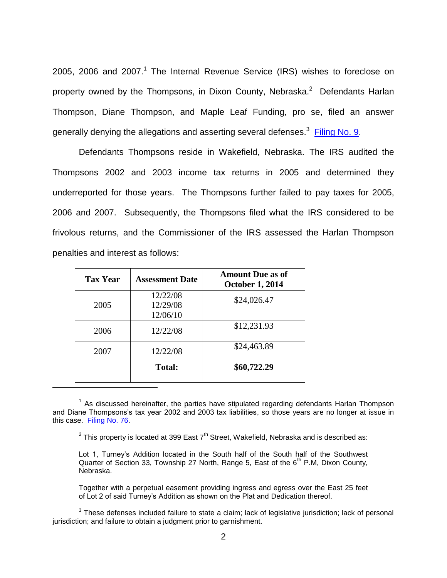2005, 2006 and 2007.<sup>1</sup> The Internal Revenue Service (IRS) wishes to foreclose on property owned by the Thompsons, in Dixon County, Nebraska.<sup>2</sup> Defendants Harlan Thompson, Diane Thompson, and Maple Leaf Funding, pro se, filed an answer generally denying the allegations and asserting several defenses.<sup>3</sup> [Filing No. 9.](https://ecf.ned.uscourts.gov/doc1/11312828651)

Defendants Thompsons reside in Wakefield, Nebraska. The IRS audited the Thompsons 2002 and 2003 income tax returns in 2005 and determined they underreported for those years. The Thompsons further failed to pay taxes for 2005, 2006 and 2007. Subsequently, the Thompsons filed what the IRS considered to be frivolous returns, and the Commissioner of the IRS assessed the Harlan Thompson penalties and interest as follows:

| <b>Tax Year</b> | <b>Assessment Date</b>           | <b>Amount Due as of</b><br><b>October 1, 2014</b> |
|-----------------|----------------------------------|---------------------------------------------------|
| 2005            | 12/22/08<br>12/29/08<br>12/06/10 | \$24,026.47                                       |
| 2006            | 12/22/08                         | \$12,231.93                                       |
| 2007            | 12/22/08                         | \$24,463.89                                       |
|                 | <b>Total:</b>                    | \$60,722.29                                       |

 $\overline{a}$ 

<sup>2</sup> This property is located at 399 East 7<sup>th</sup> Street, Wakefield, Nebraska and is described as:

Lot 1, Turney's Addition located in the South half of the South half of the Southwest Quarter of Section 33, Township 27 North, Range 5, East of the  $6<sup>th</sup>$  P.M, Dixon County, Nebraska.

Together with a perpetual easement providing ingress and egress over the East 25 feet of Lot 2 of said Turney's Addition as shown on the Plat and Dedication thereof.

 $3$  These defenses included failure to state a claim; lack of legislative jurisdiction; lack of personal jurisdiction; and failure to obtain a judgment prior to garnishment.

 $1$  As discussed hereinafter, the parties have stipulated regarding defendants Harlan Thompson and Diane Thompsons's tax year 2002 and 2003 tax liabilities, so those years are no longer at issue in this case. [Filing No. 76.](https://ecf.ned.uscourts.gov/doc1/11313138068)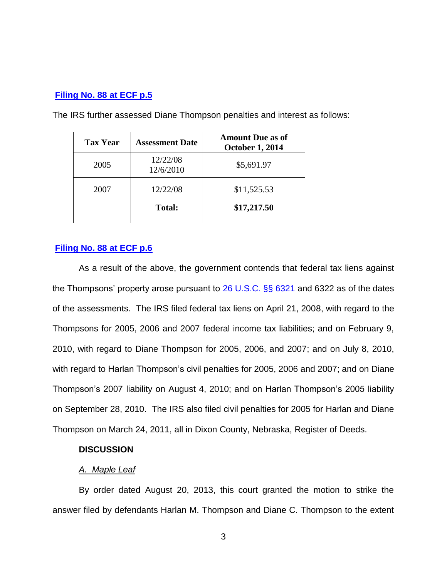### **[Filing No. 88 at ECF p.5](https://ecf.ned.uscourts.gov/doc1/11313156558?page=5)**

| <b>Tax Year</b> | <b>Assessment Date</b> | <b>Amount Due as of</b><br><b>October 1, 2014</b> |
|-----------------|------------------------|---------------------------------------------------|
| 2005            | 12/22/08<br>12/6/2010  | \$5,691.97                                        |
| 2007            | 12/22/08               | \$11,525.53                                       |
|                 | <b>Total:</b>          | \$17,217.50                                       |

The IRS further assessed Diane Thompson penalties and interest as follows:

## **[Filing No. 88 at ECF p.6](https://ecf.ned.uscourts.gov/doc1/11313156558?page=6)**

As a result of the above, the government contends that federal tax liens against the Thompsons' property arose pursuant to [26 U.S.C. §§ 6321](http://westlaw.com/find/default.wl?ft=L&docname=26USCAS6321&rs=btil2.0&rp=%2ffind%2fdefault.wl&fn=_top&findtype=L&vr=2.0&db=1000546&wbtoolsId=26USCAS6321&HistoryType=F) and 6322 as of the dates of the assessments. The IRS filed federal tax liens on April 21, 2008, with regard to the Thompsons for 2005, 2006 and 2007 federal income tax liabilities; and on February 9, 2010, with regard to Diane Thompson for 2005, 2006, and 2007; and on July 8, 2010, with regard to Harlan Thompson's civil penalties for 2005, 2006 and 2007; and on Diane Thompson's 2007 liability on August 4, 2010; and on Harlan Thompson's 2005 liability on September 28, 2010. The IRS also filed civil penalties for 2005 for Harlan and Diane Thompson on March 24, 2011, all in Dixon County, Nebraska, Register of Deeds.

### **DISCUSSION**

# *A. Maple Leaf*

By order dated August 20, 2013, this court granted the motion to strike the answer filed by defendants Harlan M. Thompson and Diane C. Thompson to the extent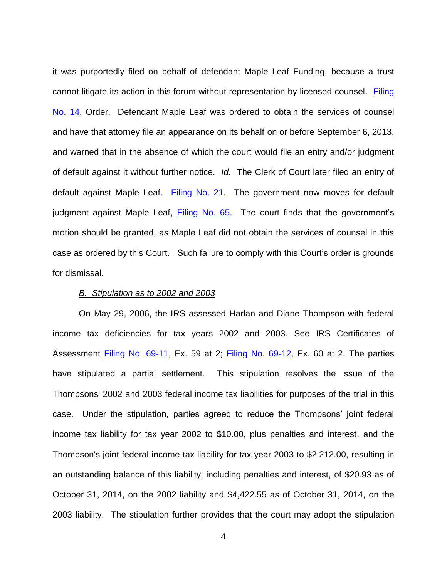it was purportedly filed on behalf of defendant Maple Leaf Funding, because a trust cannot litigate its action in this forum without representation by licensed counsel. Filing [No. 14,](https://ecf.ned.uscourts.gov/doc1/11312848382) Order. Defendant Maple Leaf was ordered to obtain the services of counsel and have that attorney file an appearance on its behalf on or before September 6, 2013, and warned that in the absence of which the court would file an entry and/or judgment of default against it without further notice. *Id*. The Clerk of Court later filed an entry of default against Maple Leaf. [Filing No. 21.](https://ecf.ned.uscourts.gov/doc1/11312890135) The government now moves for default judgment against Maple Leaf, [Filing No. 65.](https://ecf.ned.uscourts.gov/doc1/11313116022) The court finds that the government's motion should be granted, as Maple Leaf did not obtain the services of counsel in this case as ordered by this Court. Such failure to comply with this Court's order is grounds for dismissal.

#### *B. Stipulation as to 2002 and 2003*

On May 29, 2006, the IRS assessed Harlan and Diane Thompson with federal income tax deficiencies for tax years 2002 and 2003. See IRS Certificates of Assessment [Filing No. 69-11,](https://ecf.ned.uscourts.gov/doc1/11313116675) Ex. 59 at 2; [Filing No. 69-12,](https://ecf.ned.uscourts.gov/doc1/11313116676) Ex. 60 at 2. The parties have stipulated a partial settlement. This stipulation resolves the issue of the Thompsons' 2002 and 2003 federal income tax liabilities for purposes of the trial in this case. Under the stipulation, parties agreed to reduce the Thompsons' joint federal income tax liability for tax year 2002 to \$10.00, plus penalties and interest, and the Thompson's joint federal income tax liability for tax year 2003 to \$2,212.00, resulting in an outstanding balance of this liability, including penalties and interest, of \$20.93 as of October 31, 2014, on the 2002 liability and \$4,422.55 as of October 31, 2014, on the 2003 liability. The stipulation further provides that the court may adopt the stipulation

4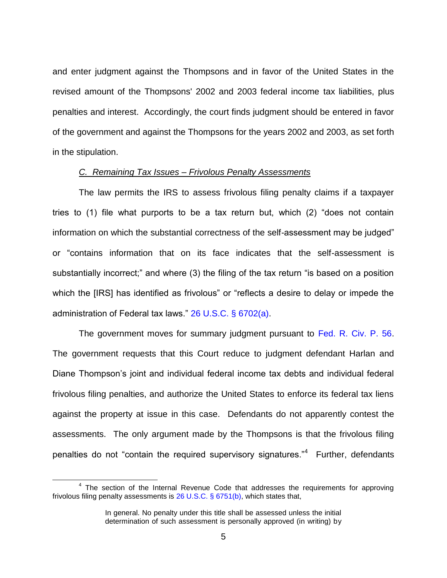and enter judgment against the Thompsons and in favor of the United States in the revised amount of the Thompsons' 2002 and 2003 federal income tax liabilities, plus penalties and interest. Accordingly, the court finds judgment should be entered in favor of the government and against the Thompsons for the years 2002 and 2003, as set forth in the stipulation.

#### *C. Remaining Tax Issues – Frivolous Penalty Assessments*

The law permits the IRS to assess frivolous filing penalty claims if a taxpayer tries to (1) file what purports to be a tax return but, which (2) "does not contain information on which the substantial correctness of the self-assessment may be judged" or "contains information that on its face indicates that the self-assessment is substantially incorrect;" and where (3) the filing of the tax return "is based on a position which the [IRS] has identified as frivolous" or "reflects a desire to delay or impede the administration of Federal tax laws." [26 U.S.C. § 6702\(a\).](http://westlaw.com/find/default.wl?ft=L&docname=26USCAS6702&rs=btil2.0&rp=%2ffind%2fdefault.wl&fn=_top&findtype=L&vr=2.0&db=1000546&wbtoolsId=26USCAS6702&HistoryType=F)

The government moves for summary judgment pursuant to [Fed. R. Civ. P. 56.](http://westlaw.com/find/default.wl?ft=L&docname=USFRCPR56&rs=btil2.0&rp=%2ffind%2fdefault.wl&fn=_top&findtype=L&vr=2.0&db=1000600&wbtoolsId=USFRCPR56&HistoryType=F) The government requests that this Court reduce to judgment defendant Harlan and Diane Thompson's joint and individual federal income tax debts and individual federal frivolous filing penalties, and authorize the United States to enforce its federal tax liens against the property at issue in this case. Defendants do not apparently contest the assessments. The only argument made by the Thompsons is that the frivolous filing penalties do not "contain the required supervisory signatures."<sup>4</sup> Further, defendants

 $\overline{a}$ 

 $4$  The section of the Internal Revenue Code that addresses the requirements for approving frivolous filing penalty assessments is [26 U.S.C. § 6751\(b\),](http://westlaw.com/find/default.wl?ft=L&docname=26USCAS6751&rs=btil2.0&rp=%2ffind%2fdefault.wl&fn=_top&findtype=L&vr=2.0&db=1000546&wbtoolsId=26USCAS6751&HistoryType=F) which states that,

In general. No penalty under this title shall be assessed unless the initial determination of such assessment is personally approved (in writing) by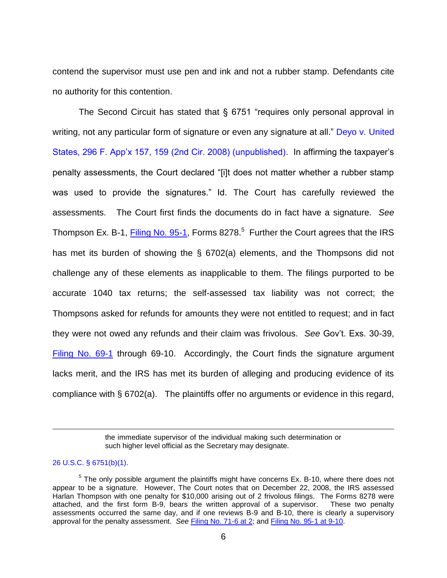contend the supervisor must use pen and ink and not a rubber stamp. Defendants cite no authority for this contention.

The Second Circuit has stated that § 6751 "requires only personal approval in writing, not any particular form of signature or even any signature at all." Deyo v. United [States, 296 F. App'x 157, 159 \(2nd Cir. 2008\) \(unpublished\).](http://westlaw.com/find/default.wl?ft=Y&referencepositiontype=S&rs=btil2.0&rp=%2ffind%2fdefault.wl&serialnum=2017295887&fn=_top&referenceposition=159&findtype=Y&vr=2.0&db=0006538&wbtoolsId=2017295887&HistoryType=F) In affirming the taxpayer's penalty assessments, the Court declared "[i]t does not matter whether a rubber stamp was used to provide the signatures." Id. The Court has carefully reviewed the assessments. The Court first finds the documents do in fact have a signature. *See* Thompson Ex. B-1, [Filing No. 95-1,](https://ecf.ned.uscourts.gov/doc1/11313165104) Forms 8278.<sup>5</sup> Further the Court agrees that the IRS has met its burden of showing the § 6702(a) elements, and the Thompsons did not challenge any of these elements as inapplicable to them. The filings purported to be accurate 1040 tax returns; the self-assessed tax liability was not correct; the Thompsons asked for refunds for amounts they were not entitled to request; and in fact they were not owed any refunds and their claim was frivolous. *See* Gov't. Exs. 30-39, [Filing No. 69-1](https://ecf.ned.uscourts.gov/doc1/11313116665) through 69-10. Accordingly, the Court finds the signature argument lacks merit, and the IRS has met its burden of alleging and producing evidence of its compliance with § 6702(a). The plaintiffs offer no arguments or evidence in this regard,

> the immediate supervisor of the individual making such determination or such higher level official as the Secretary may designate.

#### [26 U.S.C. § 6751\(b\)\(1\).](http://westlaw.com/find/default.wl?ft=L&docname=26USCAS6751&rs=btil2.0&rp=%2ffind%2fdefault.wl&fn=_top&findtype=L&vr=2.0&db=1000546&wbtoolsId=26USCAS6751&HistoryType=F)

 $\overline{a}$ 

 $5$  The only possible argument the plaintiffs might have concerns Ex. B-10, where there does not appear to be a signature. However, The Court notes that on December 22, 2008, the IRS assessed Harlan Thompson with one penalty for \$10,000 arising out of 2 frivolous filings. The Forms 8278 were attached, and the first form B-9, bears the written approval of a supervisor. These two penalty assessments occurred the same day, and if one reviews B-9 and B-10, there is clearly a supervisory approval for the penalty assessment. *See* [Filing No. 71-6 at 2;](https://ecf.ned.uscourts.gov/doc1/11313116722?page=2) and [Filing No. 95-1 at 9-10.](https://ecf.ned.uscourts.gov/doc1/11313165104?page=9)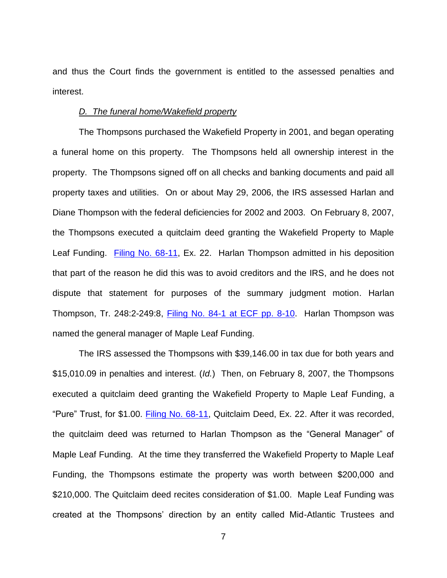and thus the Court finds the government is entitled to the assessed penalties and interest.

#### *D. The funeral home/Wakefield property*

The Thompsons purchased the Wakefield Property in 2001, and began operating a funeral home on this property. The Thompsons held all ownership interest in the property. The Thompsons signed off on all checks and banking documents and paid all property taxes and utilities. On or about May 29, 2006, the IRS assessed Harlan and Diane Thompson with the federal deficiencies for 2002 and 2003. On February 8, 2007, the Thompsons executed a quitclaim deed granting the Wakefield Property to Maple Leaf Funding. [Filing No. 68-11,](https://ecf.ned.uscourts.gov/doc1/11313116631) Ex. 22. Harlan Thompson admitted in his deposition that part of the reason he did this was to avoid creditors and the IRS, and he does not dispute that statement for purposes of the summary judgment motion. Harlan Thompson, Tr. 248:2-249:8, [Filing No. 84-1 at ECF pp. 8-10.](https://ecf.ned.uscourts.gov/doc1/11313155571?page=8) Harlan Thompson was named the general manager of Maple Leaf Funding.

The IRS assessed the Thompsons with \$39,146.00 in tax due for both years and \$15,010.09 in penalties and interest. (*Id.*) Then, on February 8, 2007, the Thompsons executed a quitclaim deed granting the Wakefield Property to Maple Leaf Funding, a "Pure" Trust, for \$1.00. [Filing No. 68-11,](https://ecf.ned.uscourts.gov/doc1/11313116631) Quitclaim Deed, Ex. 22. After it was recorded, the quitclaim deed was returned to Harlan Thompson as the "General Manager" of Maple Leaf Funding. At the time they transferred the Wakefield Property to Maple Leaf Funding, the Thompsons estimate the property was worth between \$200,000 and \$210,000. The Quitclaim deed recites consideration of \$1.00. Maple Leaf Funding was created at the Thompsons' direction by an entity called Mid-Atlantic Trustees and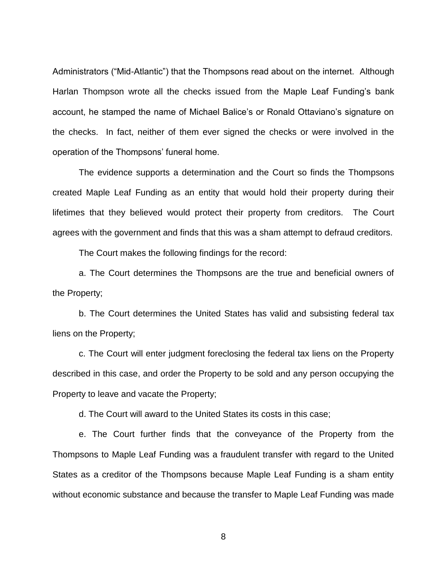Administrators ("Mid-Atlantic") that the Thompsons read about on the internet. Although Harlan Thompson wrote all the checks issued from the Maple Leaf Funding's bank account, he stamped the name of Michael Balice's or Ronald Ottaviano's signature on the checks. In fact, neither of them ever signed the checks or were involved in the operation of the Thompsons' funeral home.

The evidence supports a determination and the Court so finds the Thompsons created Maple Leaf Funding as an entity that would hold their property during their lifetimes that they believed would protect their property from creditors. The Court agrees with the government and finds that this was a sham attempt to defraud creditors.

The Court makes the following findings for the record:

a. The Court determines the Thompsons are the true and beneficial owners of the Property;

b. The Court determines the United States has valid and subsisting federal tax liens on the Property;

c. The Court will enter judgment foreclosing the federal tax liens on the Property described in this case, and order the Property to be sold and any person occupying the Property to leave and vacate the Property;

d. The Court will award to the United States its costs in this case;

e. The Court further finds that the conveyance of the Property from the Thompsons to Maple Leaf Funding was a fraudulent transfer with regard to the United States as a creditor of the Thompsons because Maple Leaf Funding is a sham entity without economic substance and because the transfer to Maple Leaf Funding was made

8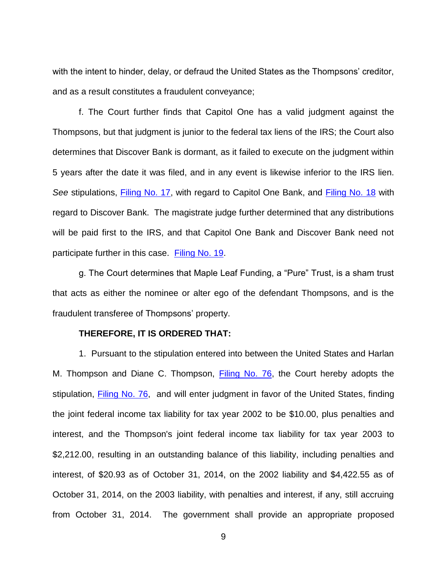with the intent to hinder, delay, or defraud the United States as the Thompsons' creditor, and as a result constitutes a fraudulent conveyance;

f. The Court further finds that Capitol One has a valid judgment against the Thompsons, but that judgment is junior to the federal tax liens of the IRS; the Court also determines that Discover Bank is dormant, as it failed to execute on the judgment within 5 years after the date it was filed, and in any event is likewise inferior to the IRS lien. See stipulations, **Filing No. 17**, with regard to Capitol One Bank, and **Filing No. 18** with regard to Discover Bank. The magistrate judge further determined that any distributions will be paid first to the IRS, and that Capitol One Bank and Discover Bank need not participate further in this case. [Filing No. 19.](https://ecf.ned.uscourts.gov/doc1/11312866526)

g. The Court determines that Maple Leaf Funding, a "Pure" Trust, is a sham trust that acts as either the nominee or alter ego of the defendant Thompsons, and is the fraudulent transferee of Thompsons' property.

### **THEREFORE, IT IS ORDERED THAT:**

1. Pursuant to the stipulation entered into between the United States and Harlan M. Thompson and Diane C. Thompson, [Filing No. 76,](https://ecf.ned.uscourts.gov/doc1/11313138068) the Court hereby adopts the stipulation, [Filing No. 76,](https://ecf.ned.uscourts.gov/doc1/11313138068) and will enter judgment in favor of the United States, finding the joint federal income tax liability for tax year 2002 to be \$10.00, plus penalties and interest, and the Thompson's joint federal income tax liability for tax year 2003 to \$2,212.00, resulting in an outstanding balance of this liability, including penalties and interest, of \$20.93 as of October 31, 2014, on the 2002 liability and \$4,422.55 as of October 31, 2014, on the 2003 liability, with penalties and interest, if any, still accruing from October 31, 2014. The government shall provide an appropriate proposed